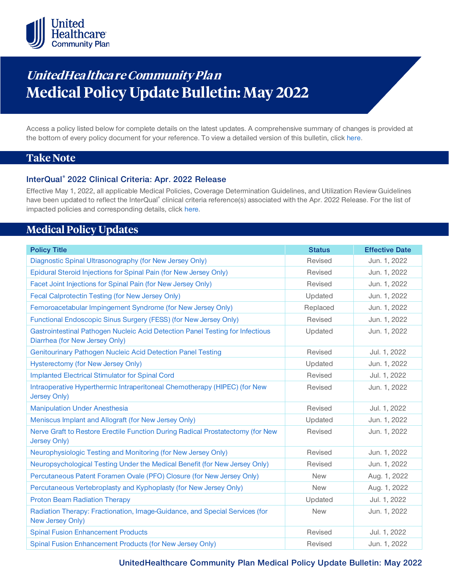

# **UnitedHea lthca re Community Pla <sup>n</sup> Medical Policy Update Bulletin: May 2022**

Access a policy listed below for complete details on the latest updates. A comprehensive summary of changes is provided at the bottom of every policy document for your reference. To view a detailed version of this bulletin, clic[k here.](https://www.uhcprovider.com/content/dam/provider/docs/public/policies/mpub-archives/comm-plan/community-plan-medical-policy-update-bulletin-may-2022-full.pdf)

### **Take Note**

### **InterQual® 2022 Clinical Criteria: Apr. 2022 Release**

Effective May 1, 2022, all applicable Medical Policies, Coverage Determination Guidelines, and Utilization Review Guidelines have been updated to reflect the InterQual® clinical criteria reference(s) associated with the Apr. 2022 Release. For the list of impacted policies and corresponding details, click [here.](https://www.uhcprovider.com/content/dam/provider/docs/public/policies/mpub-archives/comm-plan/community-plan-medical-policy-update-bulletin-may-2022-full.pdf)

### **Medical Policy Updates**

| <b>Policy Title</b>                                                                                             | <b>Status</b> | <b>Effective Date</b> |
|-----------------------------------------------------------------------------------------------------------------|---------------|-----------------------|
| Diagnostic Spinal Ultrasonography (for New Jersey Only)                                                         | Revised       | Jun. 1, 2022          |
| Epidural Steroid Injections for Spinal Pain (for New Jersey Only)                                               | Revised       | Jun. 1, 2022          |
| Facet Joint Injections for Spinal Pain (for New Jersey Only)                                                    | Revised       | Jun. 1, 2022          |
| Fecal Calprotectin Testing (for New Jersey Only)                                                                | Updated       | Jun. 1, 2022          |
| Femoroacetabular Impingement Syndrome (for New Jersey Only)                                                     | Replaced      | Jun. 1, 2022          |
| Functional Endoscopic Sinus Surgery (FESS) (for New Jersey Only)                                                | Revised       | Jun. 1, 2022          |
| Gastrointestinal Pathogen Nucleic Acid Detection Panel Testing for Infectious<br>Diarrhea (for New Jersey Only) | Updated       | Jun. 1, 2022          |
| Genitourinary Pathogen Nucleic Acid Detection Panel Testing                                                     | Revised       | Jul. 1, 2022          |
| <b>Hysterectomy (for New Jersey Only)</b>                                                                       | Updated       | Jun. 1, 2022          |
| <b>Implanted Electrical Stimulator for Spinal Cord</b>                                                          | Revised       | Jul. 1, 2022          |
| Intraoperative Hyperthermic Intraperitoneal Chemotherapy (HIPEC) (for New<br><b>Jersey Only)</b>                | Revised       | Jun. 1, 2022          |
| <b>Manipulation Under Anesthesia</b>                                                                            | Revised       | Jul. 1, 2022          |
| Meniscus Implant and Allograft (for New Jersey Only)                                                            | Updated       | Jun. 1, 2022          |
| Nerve Graft to Restore Erectile Function During Radical Prostatectomy (for New<br><b>Jersey Only)</b>           | Revised       | Jun. 1, 2022          |
| Neurophysiologic Testing and Monitoring (for New Jersey Only)                                                   | Revised       | Jun. 1, 2022          |
| Neuropsychological Testing Under the Medical Benefit (for New Jersey Only)                                      | Revised       | Jun. 1, 2022          |
| Percutaneous Patent Foramen Ovale (PFO) Closure (for New Jersey Only)                                           | <b>New</b>    | Aug. 1, 2022          |
| Percutaneous Vertebroplasty and Kyphoplasty (for New Jersey Only)                                               | <b>New</b>    | Aug. 1, 2022          |
| <b>Proton Beam Radiation Therapy</b>                                                                            | Updated       | Jul. 1, 2022          |
| Radiation Therapy: Fractionation, Image-Guidance, and Special Services (for<br><b>New Jersey Only)</b>          | <b>New</b>    | Jun. 1, 2022          |
| <b>Spinal Fusion Enhancement Products</b>                                                                       | Revised       | Jul. 1, 2022          |
| Spinal Fusion Enhancement Products (for New Jersey Only)                                                        | Revised       | Jun. 1, 2022          |

**UnitedHealthcare Community Plan Medical Policy Update Bulletin: May 2022**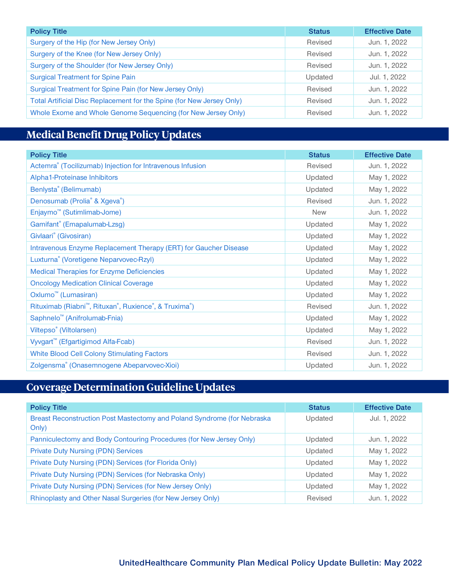| <b>Policy Title</b>                                                   | <b>Status</b> | <b>Effective Date</b> |
|-----------------------------------------------------------------------|---------------|-----------------------|
| Surgery of the Hip (for New Jersey Only)                              | Revised       | Jun. 1, 2022          |
| Surgery of the Knee (for New Jersey Only)                             | Revised       | Jun. 1, 2022          |
| Surgery of the Shoulder (for New Jersey Only)                         | Revised       | Jun. 1, 2022          |
| <b>Surgical Treatment for Spine Pain</b>                              | Updated       | Jul. 1, 2022          |
| Surgical Treatment for Spine Pain (for New Jersey Only)               | Revised       | Jun. 1, 2022          |
| Total Artificial Disc Replacement for the Spine (for New Jersey Only) | Revised       | Jun. 1, 2022          |
| Whole Exome and Whole Genome Sequencing (for New Jersey Only)         | Revised       | Jun. 1, 2022          |

## **Medical Benefit Drug Policy Updates**

| <b>Policy Title</b>                                                   | <b>Status</b> | <b>Effective Date</b> |
|-----------------------------------------------------------------------|---------------|-----------------------|
| Actemra <sup>®</sup> (Tocilizumab) Injection for Intravenous Infusion | Revised       | Jun. 1, 2022          |
| Alpha1-Proteinase Inhibitors                                          | Updated       | May 1, 2022           |
| Benlysta <sup>®</sup> (Belimumab)                                     | Updated       | May 1, 2022           |
| Denosumab (Prolia <sup>®</sup> & Xgeva <sup>®</sup> )                 | Revised       | Jun. 1, 2022          |
| Enjaymo <sup>™</sup> (Sutimlimab-Jome)                                | <b>New</b>    | Jun. 1, 2022          |
| Gamifant® (Emapalumab-Lzsg)                                           | Updated       | May 1, 2022           |
| Givlaari <sup>®</sup> (Givosiran)                                     | Updated       | May 1, 2022           |
| Intravenous Enzyme Replacement Therapy (ERT) for Gaucher Disease      | Updated       | May 1, 2022           |
| Luxturna® (Voretigene Neparvovec-Rzyl)                                | Updated       | May 1, 2022           |
| <b>Medical Therapies for Enzyme Deficiencies</b>                      | Updated       | May 1, 2022           |
| <b>Oncology Medication Clinical Coverage</b>                          | Updated       | May 1, 2022           |
| Oxlumo <sup>™</sup> (Lumasiran)                                       | Updated       | May 1, 2022           |
| Rituximab (Riabni <sup>™</sup> , Rituxan®, Ruxience®, & Truxima®)     | Revised       | Jun. 1, 2022          |
| Saphnelo <sup>™</sup> (Anifrolumab-Fnia)                              | Updated       | May 1, 2022           |
| Viltepso <sup>®</sup> (Viltolarsen)                                   | Updated       | May 1, 2022           |
| Vyvgart <sup>™</sup> (Efgartigimod Alfa-Fcab)                         | Revised       | Jun. 1, 2022          |
| <b>White Blood Cell Colony Stimulating Factors</b>                    | Revised       | Jun. 1, 2022          |
| Zolgensma® (Onasemnogene Abeparvovec-Xioi)                            | Updated       | Jun. 1, 2022          |

## **Coverage Determination Guideline Updates**

| <b>Policy Title</b>                                                              | <b>Status</b> | <b>Effective Date</b> |
|----------------------------------------------------------------------------------|---------------|-----------------------|
| Breast Reconstruction Post Mastectomy and Poland Syndrome (for Nebraska<br>Only) | Updated       | Jul. 1, 2022          |
| Panniculectomy and Body Contouring Procedures (for New Jersey Only)              | Updated       | Jun. 1, 2022          |
| <b>Private Duty Nursing (PDN) Services</b>                                       | Updated       | May 1, 2022           |
| Private Duty Nursing (PDN) Services (for Florida Only)                           | Updated       | May 1, 2022           |
| Private Duty Nursing (PDN) Services (for Nebraska Only)                          | Updated       | May 1, 2022           |
| Private Duty Nursing (PDN) Services (for New Jersey Only)                        | Updated       | May 1, 2022           |
| Rhinoplasty and Other Nasal Surgeries (for New Jersey Only)                      | Revised       | Jun. 1, 2022          |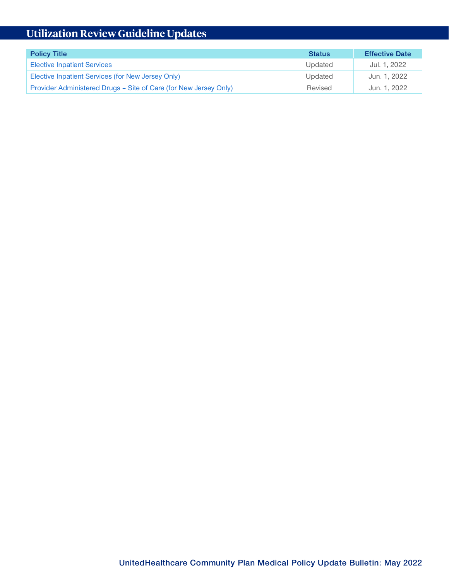# **Utilization Review Guideline Updates**

| <b>Policy Title</b>                                              | <b>Status</b> | <b>Effective Date</b> |
|------------------------------------------------------------------|---------------|-----------------------|
| <b>Elective Inpatient Services</b>                               | Updated       | Jul. 1. 2022          |
| Elective Inpatient Services (for New Jersey Only)                | Updated       | Jun. 1, 2022          |
| Provider Administered Drugs - Site of Care (for New Jersey Only) | Revised       | Jun. 1, 2022          |